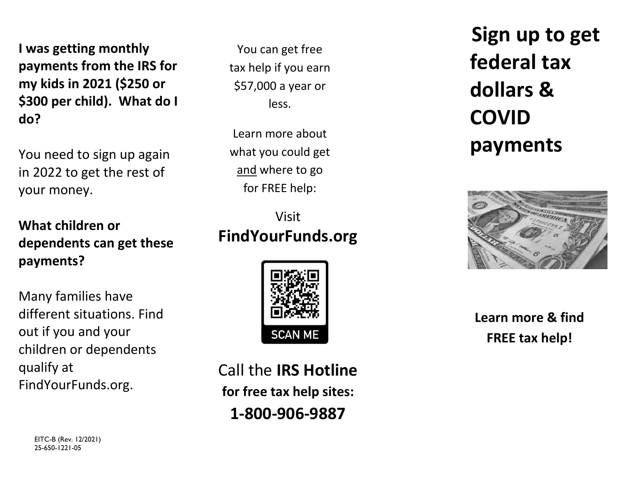**I was getting monthly payments from the IRS for my kids in 2021 (\$250 or \$300 per child). What do <sup>I</sup> do?**

You need to sign up again in 2022 to get the rest of your money.

**What children or dependents can get these payments?**

Many families have different situations. Findout if you and your children or dependents qualify at FindYourFunds.org.

> EITC-B (Rev. 12/2021) 25-650-1221-05

You can get free tax help if you earn \$57,000 a year or less.

Learn more about what you could get and where to go for FREE help:

# Visit**FindYourFunds.org**



Call the **IRS Hotlinefor free tax help sites: 1‐800‐906‐9887**

**Sign up to get federal taxdollars&COVIDpayments**



**Learn more & find FREE tax help!**